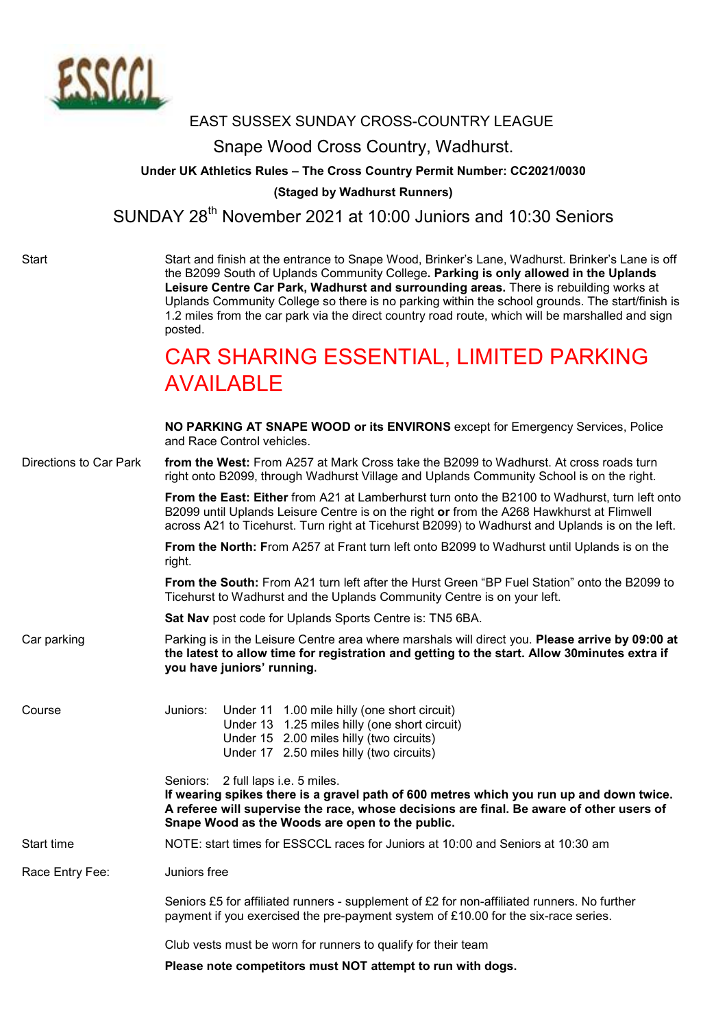

## EAST SUSSEX SUNDAY CROSS-COUNTRY LEAGUE

## Snape Wood Cross Country, Wadhurst.

## Under UK Athletics Rules – The Cross Country Permit Number: CC2021/0030

(Staged by Wadhurst Runners)

SUNDAY 28<sup>th</sup> November 2021 at 10:00 Juniors and 10:30 Seniors

Start Start and finish at the entrance to Snape Wood, Brinker's Lane, Wadhurst. Brinker's Lane is off the B2099 South of Uplands Community College. Parking is only allowed in the Uplands Leisure Centre Car Park, Wadhurst and surrounding areas. There is rebuilding works at Uplands Community College so there is no parking within the school grounds. The start/finish is 1.2 miles from the car park via the direct country road route, which will be marshalled and sign posted.

## CAR SHARING ESSENTIAL, LIMITED PARKING **AVAILABLE**

|                        | NO PARKING AT SNAPE WOOD or its ENVIRONS except for Emergency Services, Police<br>and Race Control vehicles.                                                                                                                                                                                  |
|------------------------|-----------------------------------------------------------------------------------------------------------------------------------------------------------------------------------------------------------------------------------------------------------------------------------------------|
| Directions to Car Park | from the West: From A257 at Mark Cross take the B2099 to Wadhurst. At cross roads turn<br>right onto B2099, through Wadhurst Village and Uplands Community School is on the right.                                                                                                            |
|                        | From the East: Either from A21 at Lamberhurst turn onto the B2100 to Wadhurst, turn left onto<br>B2099 until Uplands Leisure Centre is on the right or from the A268 Hawkhurst at Flimwell<br>across A21 to Ticehurst. Turn right at Ticehurst B2099) to Wadhurst and Uplands is on the left. |
|                        | From the North: From A257 at Frant turn left onto B2099 to Wadhurst until Uplands is on the<br>right.                                                                                                                                                                                         |
|                        | From the South: From A21 turn left after the Hurst Green "BP Fuel Station" onto the B2099 to<br>Ticehurst to Wadhurst and the Uplands Community Centre is on your left.                                                                                                                       |
|                        | Sat Nav post code for Uplands Sports Centre is: TN5 6BA.                                                                                                                                                                                                                                      |
| Car parking            | Parking is in the Leisure Centre area where marshals will direct you. Please arrive by 09:00 at<br>the latest to allow time for registration and getting to the start. Allow 30minutes extra if<br>you have juniors' running.                                                                 |
| Course                 | Under 11 1.00 mile hilly (one short circuit)<br>Juniors:<br>Under 13 1.25 miles hilly (one short circuit)<br>Under 15 2.00 miles hilly (two circuits)<br>Under 17 2.50 miles hilly (two circuits)                                                                                             |
|                        | Seniors: 2 full laps i.e. 5 miles.<br>If wearing spikes there is a gravel path of 600 metres which you run up and down twice.<br>A referee will supervise the race, whose decisions are final. Be aware of other users of<br>Snape Wood as the Woods are open to the public.                  |
| Start time             | NOTE: start times for ESSCCL races for Juniors at 10:00 and Seniors at 10:30 am                                                                                                                                                                                                               |
| Race Entry Fee:        | Juniors free                                                                                                                                                                                                                                                                                  |
|                        | Seniors £5 for affiliated runners - supplement of £2 for non-affiliated runners. No further<br>payment if you exercised the pre-payment system of £10.00 for the six-race series.                                                                                                             |
|                        | Club vests must be worn for runners to qualify for their team                                                                                                                                                                                                                                 |
|                        | Please note competitors must NOT attempt to run with dogs.                                                                                                                                                                                                                                    |